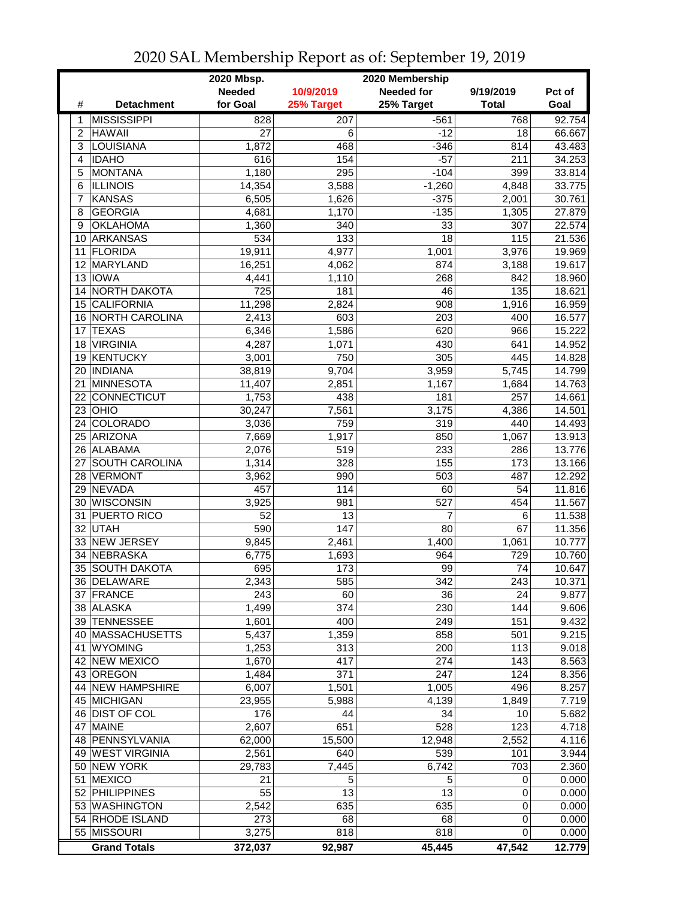|                |                       | 2020 Mbsp.    |                  | 2020 Membership |              |        |
|----------------|-----------------------|---------------|------------------|-----------------|--------------|--------|
|                |                       | <b>Needed</b> | 10/9/2019        | Needed for      | 9/19/2019    | Pct of |
| #              | <b>Detachment</b>     | for Goal      | 25% Target       | 25% Target      | <b>Total</b> | Goal   |
| 1              | <b>MISSISSIPPI</b>    | 828           | 207              | $-561$          | 768          | 92.754 |
| $\overline{2}$ | <b>HAWAII</b>         | 27            | 6                | $-12$           | 18           | 66.667 |
| 3              | <b>LOUISIANA</b>      | 1,872         | 468              | $-346$          | 814          | 43.483 |
| 4              | <b>IDAHO</b>          | 616           | 154              | $-57$           | 211          | 34.253 |
| 5              | <b>MONTANA</b>        | 1,180         | 295              | $-104$          | 399          | 33.814 |
| 6              | <b>ILLINOIS</b>       | 14,354        | 3,588            | $-1,260$        | 4,848        | 33.775 |
| 7              | <b>KANSAS</b>         | 6,505         | 1,626            | $-375$          | 2,001        | 30.761 |
| 8              | <b>GEORGIA</b>        | 4,681         | 1,170            | $-135$          | 1,305        | 27.879 |
| 9              | <b>OKLAHOMA</b>       | 1,360         | 340              | 33              | 307          | 22.574 |
| 10             | ARKANSAS              | 534           | 133              | 18              | 115          | 21.536 |
| 11             | FLORIDA               | 19,911        | 4,977            | 1,001           | 3,976        | 19.969 |
| 12             | MARYLAND              | 16,251        | 4,062            | 874             | 3,188        | 19.617 |
|                | 13 IOWA               | 4,441         | 1,110            | 268             | 842          | 18.960 |
| 14             | <b>NORTH DAKOTA</b>   | 725           | 181              | 46              | 135          | 18.621 |
| 15             | <b>CALIFORNIA</b>     | 11,298        | 2,824            | 908             | 1,916        | 16.959 |
| 16             | NORTH CAROLINA        | 2,413         | 603              | 203             | 400          | 16.577 |
| 17             | <b>TEXAS</b>          | 6,346         | 1,586            | 620             | 966          | 15.222 |
| 18             | <b>VIRGINIA</b>       | 4,287         | 1,071            | 430             | 641          | 14.952 |
| 19             | KENTUCKY              | 3,001         | 750              | 305             | 445          | 14.828 |
| 20             | <b>INDIANA</b>        | 38,819        | 9,704            | 3,959           | 5,745        | 14.799 |
| 21             | <b>MINNESOTA</b>      | 11,407        | 2,851            | 1,167           | 1,684        | 14.763 |
| 22             | CONNECTICUT           | 1,753         | 438              | 181             | 257          | 14.661 |
| 23             | OHIO                  | 30,247        | 7,561            | 3,175           | 4,386        | 14.501 |
| 24             | <b>COLORADO</b>       | 3,036         | 759              | 319             | 440          | 14.493 |
| 25             | <b>ARIZONA</b>        | 7,669         | 1,917            | 850             | 1,067        | 13.913 |
| 26             | ALABAMA               | 2,076         | 519              | 233             | 286          | 13.776 |
| 27             | <b>SOUTH CAROLINA</b> | 1,314         | $\overline{328}$ | 155             | 173          | 13.166 |
| 28             | <b>VERMONT</b>        | 3,962         | 990              | 503             | 487          | 12.292 |
| 29             | NEVADA                | 457           | 114              | 60              | 54           | 11.816 |
| 30             | <b>WISCONSIN</b>      | 3,925         | 981              | 527             | 454          | 11.567 |
| 31             | PUERTO RICO           | 52            | 13               | 7               | 6            | 11.538 |
| 32             | UTAH                  | 590           | 147              | 80              | 67           | 11.356 |
| 33             | <b>NEW JERSEY</b>     | 9,845         | 2,461            | 1,400           | 1,061        | 10.777 |
| 34             | <b>NEBRASKA</b>       | 6,775         | 1,693            | 964             | 729          | 10.760 |
| 35             | <b>SOUTH DAKOTA</b>   | 695           | 173              | 99              | 74           | 10.647 |
|                | 36 DELAWARE           | 2,343         | 585              | 342             | 243          | 10.371 |
|                | 37 FRANCE             | 243           | 60               | 36              | 24           | 9.877  |
|                | 38 ALASKA             | 1,499         | 374              | 230             | 144          | 9.606  |
|                | 39 TENNESSEE          | 1,601         | 400              | 249             | 151          | 9.432  |
| 40             | <b>MASSACHUSETTS</b>  | 5,437         | 1,359            | 858             | 501          | 9.215  |
| 41             | <b>WYOMING</b>        | 1,253         | 313              | 200             | 113          | 9.018  |
| 42             | <b>NEW MEXICO</b>     | 1,670         | 417              | 274             | 143          | 8.563  |
|                | 43 OREGON             | 1,484         | 371              | 247             | 124          | 8.356  |
|                | 44 NEW HAMPSHIRE      | 6,007         | 1,501            | 1,005           | 496          | 8.257  |
|                | 45 MICHIGAN           | 23,955        | 5,988            | 4,139           | 1,849        | 7.719  |
|                | 46 DIST OF COL        | 176           | 44               | 34              | 10           | 5.682  |
|                | 47 MAINE              | 2,607         | 651              | 528             | 123          | 4.718  |
|                | 48 PENNSYLVANIA       | 62,000        | 15,500           | 12,948          | 2,552        | 4.116  |
|                | 49 WEST VIRGINIA      | 2,561         | 640              | 539             | 101          | 3.944  |
| 50             | <b>NEW YORK</b>       | 29,783        | 7,445            | 6,742           | 703          | 2.360  |
| 51             | <b>MEXICO</b>         | 21            | 5                | 5               | 0            | 0.000  |
|                | 52 PHILIPPINES        | 55            | 13               | 13              | 0            | 0.000  |
|                | 53 WASHINGTON         | 2,542         | 635              | 635             | 0            | 0.000  |
|                | 54 RHODE ISLAND       | 273           | 68               | 68              | 0            | 0.000  |
|                | 55 MISSOURI           | 3,275         | 818              | 818             | 0            | 0.000  |
|                | <b>Grand Totals</b>   | 372,037       | 92,987           | 45,445          | 47,542       | 12.779 |

2020 SAL Membership Report as of: September 19, 2019